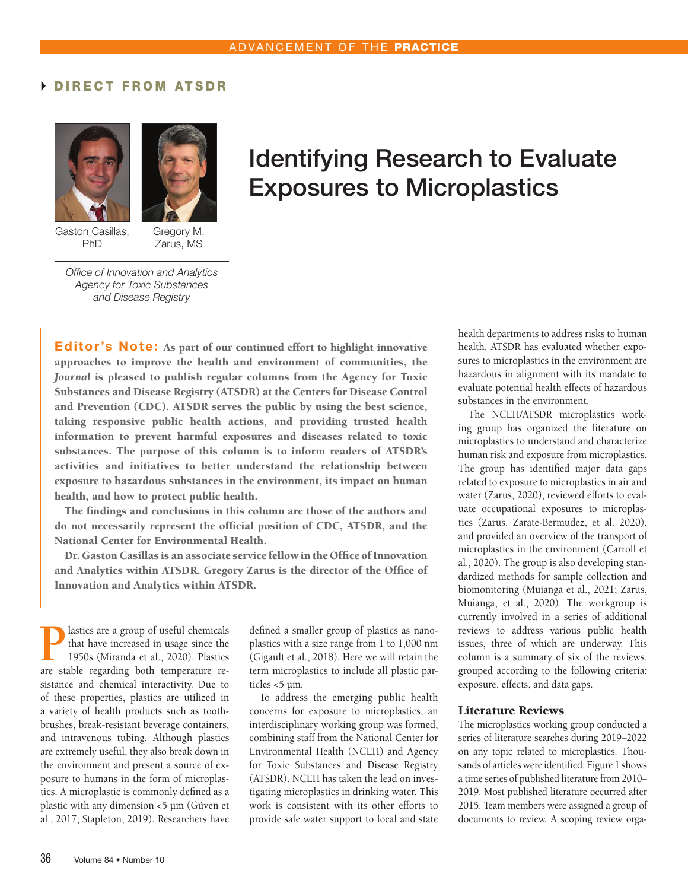### DIRECT FROM ATSDR





Gaston Casillas, PhD

Gregory M. Zarus, MS

# Identifying Research to Evaluate Exposures to Microplastics

*Office of Innovation and Analytics Agency for Toxic Substances and Disease Registry*

Editor's Note: As part of our continued effort to highlight innovative approaches to improve the health and environment of communities, the *Journal* is pleased to publish regular columns from the Agency for Toxic Substances and Disease Registry (ATSDR) at the Centers for Disease Control and Prevention (CDC). ATSDR serves the public by using the best science, taking responsive public health actions, and providing trusted health information to prevent harmful exposures and diseases related to toxic substances. The purpose of this column is to inform readers of ATSDR's activities and initiatives to better understand the relationship between exposure to hazardous substances in the environment, its impact on human health, and how to protect public health.

The findings and conclusions in this column are those of the authors and do not necessarily represent the official position of CDC, ATSDR, and the National Center for Environmental Health.

Dr. Gaston Casillas is an associate service fellow in the Office of Innovation and Analytics within ATSDR. Gregory Zarus is the director of the Office of Innovation and Analytics within ATSDR.

**P** lastics are a group of useful chemicals<br>that have increased in usage since the<br>1950s (Miranda et al., 2020). Plastics<br>are stable regarding both temperature rethat have increased in usage since the 1950s (Miranda et al., 2020). Plastics are stable regarding both temperature resistance and chemical interactivity. Due to of these properties, plastics are utilized in a variety of health products such as toothbrushes, break-resistant beverage containers, and intravenous tubing. Although plastics are extremely useful, they also break down in the environment and present a source of exposure to humans in the form of microplastics. A microplastic is commonly defined as a plastic with any dimension <5 µm (Güven et al., 2017; Stapleton, 2019). Researchers have

defined a smaller group of plastics as nanoplastics with a size range from 1 to 1,000 nm (Gigault et al., 2018). Here we will retain the term microplastics to include all plastic particles <5 µm.

To address the emerging public health concerns for exposure to microplastics, an interdisciplinary working group was formed, combining staff from the National Center for Environmental Health (NCEH) and Agency for Toxic Substances and Disease Registry (ATSDR). NCEH has taken the lead on investigating microplastics in drinking water. This work is consistent with its other efforts to provide safe water support to local and state health departments to address risks to human health. ATSDR has evaluated whether exposures to microplastics in the environment are hazardous in alignment with its mandate to evaluate potential health effects of hazardous substances in the environment.

The NCEH/ATSDR microplastics working group has organized the literature on microplastics to understand and characterize human risk and exposure from microplastics. The group has identified major data gaps related to exposure to microplastics in air and water (Zarus, 2020), reviewed efforts to evaluate occupational exposures to microplastics (Zarus, Zarate-Bermudez, et al. 2020), and provided an overview of the transport of microplastics in the environment (Carroll et al., 2020). The group is also developing standardized methods for sample collection and biomonitoring (Muianga et al., 2021; Zarus, Muianga, et al., 2020). The workgroup is currently involved in a series of additional reviews to address various public health issues, three of which are underway. This column is a summary of six of the reviews, grouped according to the following criteria: exposure, effects, and data gaps.

#### Literature Reviews

The microplastics working group conducted a series of literature searches during 2019–2022 on any topic related to microplastics. Thousands of articles were identified. Figure 1 shows a time series of published literature from 2010– 2019. Most published literature occurred after 2015. Team members were assigned a group of documents to review. A scoping review orga-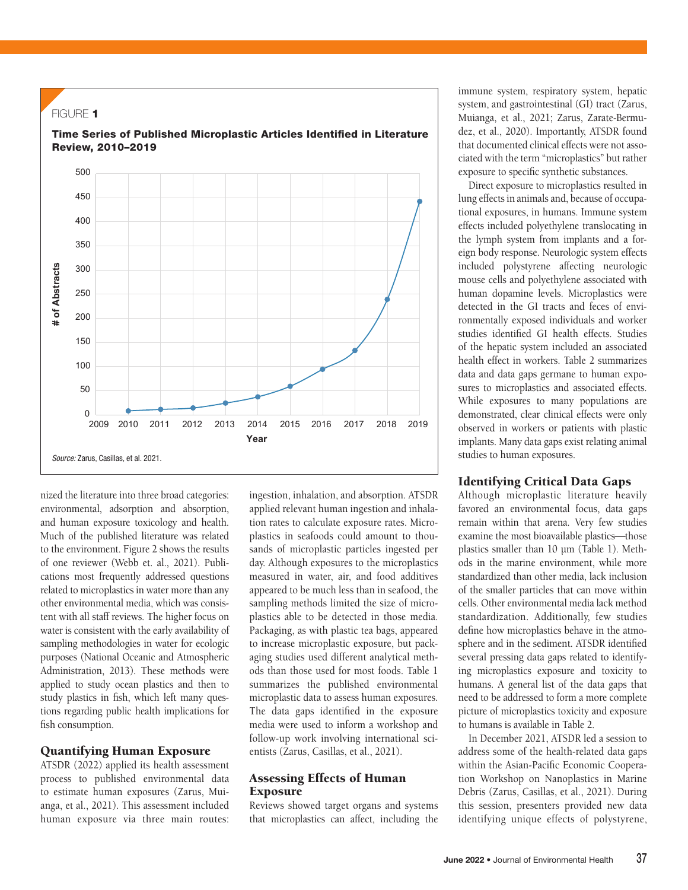

nized the literature into three broad categories: environmental, adsorption and absorption, and human exposure toxicology and health. Much of the published literature was related to the environment. Figure 2 shows the results of one reviewer (Webb et. al., 2021). Publications most frequently addressed questions related to microplastics in water more than any other environmental media, which was consistent with all staff reviews. The higher focus on water is consistent with the early availability of sampling methodologies in water for ecologic purposes (National Oceanic and Atmospheric Administration, 2013). These methods were applied to study ocean plastics and then to study plastics in fish, which left many questions regarding public health implications for fish consumption.

#### Quantifying Human Exposure

ATSDR (2022) applied its health assessment process to published environmental data to estimate human exposures (Zarus, Muianga, et al., 2021). This assessment included human exposure via three main routes:

ingestion, inhalation, and absorption. ATSDR applied relevant human ingestion and inhalation rates to calculate exposure rates. Microplastics in seafoods could amount to thousands of microplastic particles ingested per day. Although exposures to the microplastics measured in water, air, and food additives appeared to be much less than in seafood, the sampling methods limited the size of microplastics able to be detected in those media. Packaging, as with plastic tea bags, appeared to increase microplastic exposure, but packaging studies used different analytical methods than those used for most foods. Table 1 summarizes the published environmental microplastic data to assess human exposures. The data gaps identified in the exposure media were used to inform a workshop and follow-up work involving international scientists (Zarus, Casillas, et al., 2021).

#### Assessing Effects of Human **Exposure**

Reviews showed target organs and systems that microplastics can affect, including the immune system, respiratory system, hepatic system, and gastrointestinal (GI) tract (Zarus, Muianga, et al., 2021; Zarus, Zarate-Bermudez, et al., 2020). Importantly, ATSDR found that documented clinical effects were not associated with the term "microplastics" but rather exposure to specific synthetic substances.

Direct exposure to microplastics resulted in lung effects in animals and, because of occupational exposures, in humans. Immune system effects included polyethylene translocating in the lymph system from implants and a foreign body response. Neurologic system effects included polystyrene affecting neurologic mouse cells and polyethylene associated with human dopamine levels. Microplastics were detected in the GI tracts and feces of environmentally exposed individuals and worker studies identified GI health effects. Studies of the hepatic system included an associated health effect in workers. Table 2 summarizes data and data gaps germane to human exposures to microplastics and associated effects. While exposures to many populations are demonstrated, clear clinical effects were only observed in workers or patients with plastic implants. Many data gaps exist relating animal studies to human exposures.

#### Identifying Critical Data Gaps

Although microplastic literature heavily favored an environmental focus, data gaps remain within that arena. Very few studies examine the most bioavailable plastics-those plastics smaller than 10 µm (Table 1). Methods in the marine environment, while more standardized than other media, lack inclusion of the smaller particles that can move within cells. Other environmental media lack method standardization. Additionally, few studies define how microplastics behave in the atmosphere and in the sediment. ATSDR identified several pressing data gaps related to identifying microplastics exposure and toxicity to humans. A general list of the data gaps that need to be addressed to form a more complete picture of microplastics toxicity and exposure to humans is available in Table 2.

In December 2021, ATSDR led a session to address some of the health-related data gaps within the Asian-Pacific Economic Cooperation Workshop on Nanoplastics in Marine Debris (Zarus, Casillas, et al., 2021). During this session, presenters provided new data identifying unique effects of polystyrene,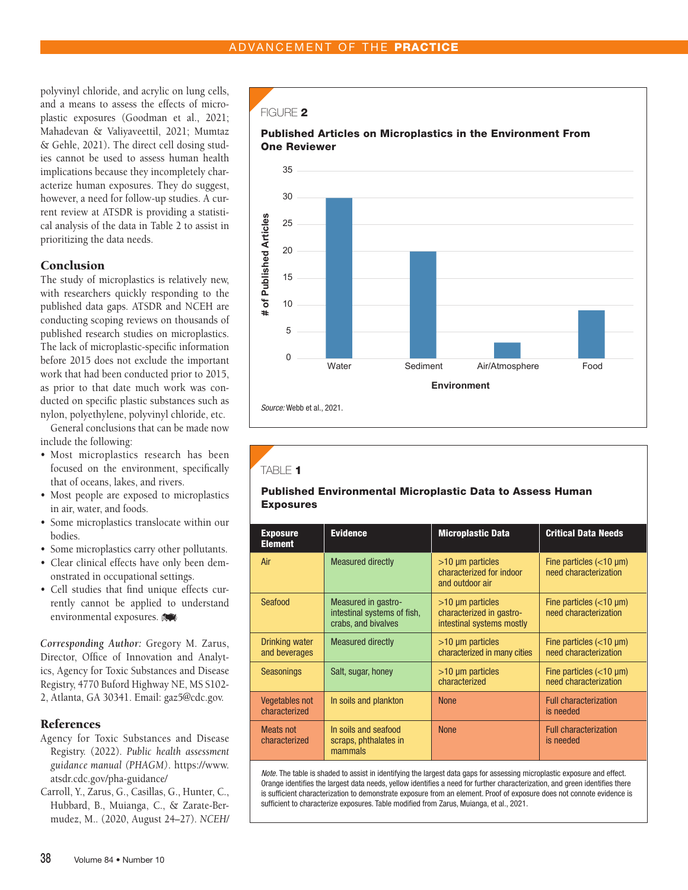polyvinyl chloride, and acrylic on lung cells, and a means to assess the effects of microplastic exposures (Goodman et al., 2021; Mahadevan & Valiyaveettil, 2021; Mumtaz & Gehle, 2021)**.** The direct cell dosing studies cannot be used to assess human health implications because they incompletely characterize human exposures. They do suggest, however, a need for follow-up studies. A current review at ATSDR is providing a statistical analysis of the data in Table 2 to assist in prioritizing the data needs.

#### **Conclusion**

The study of microplastics is relatively new, with researchers quickly responding to the published data gaps. ATSDR and NCEH are conducting scoping reviews on thousands of published research studies on microplastics. The lack of microplastic-specific information before 2015 does not exclude the important work that had been conducted prior to 2015, as prior to that date much work was conducted on specific plastic substances such as nylon, polyethylene, polyvinyl chloride, etc.

General conclusions that can be made now include the following:

- Most microplastics research has been focused on the environment, specifically that of oceans, lakes, and rivers.
- Most people are exposed to microplastics in air, water, and foods.
- Some microplastics translocate within our bodies.
- Some microplastics carry other pollutants.
- Clear clinical effects have only been demonstrated in occupational settings.
- Cell studies that find unique effects currently cannot be applied to understand environmental exposures.

*Corresponding Author:* Gregory M. Zarus, Director, Office of Innovation and Analytics, Agency for Toxic Substances and Disease Registry, 4770 Buford Highway NE, MS S102- 2, Atlanta, GA 30341. Email: gaz5@cdc.gov.

#### References

- Agency for Toxic Substances and Disease Registry. (2022). *Public health assessment guidance manual (PHAGM)*. https://www. atsdr.cdc.gov/pha-guidance/
- Carroll, Y., Zarus, G., Casillas, G., Hunter, C., Hubbard, B., Muianga, C., & Zarate-Bermudez, M.. (2020, August 24–27). *NCEH/*

#### FIGURE 2



## TABLE 1

#### Published Environmental Microplastic Data to Assess Human Exposures

| <b>Exposure</b><br><b>Element</b>      | <b>Evidence</b>                                                           | <b>Microplastic Data</b>                                                       | <b>Critical Data Needs</b>                            |
|----------------------------------------|---------------------------------------------------------------------------|--------------------------------------------------------------------------------|-------------------------------------------------------|
| Air                                    | <b>Measured directly</b>                                                  | $>10 \mu m$ particles<br>characterized for indoor<br>and outdoor air           | Fine particles $(<10 \mu m)$<br>need characterization |
| Seafood                                | Measured in gastro-<br>intestinal systems of fish,<br>crabs, and bivalves | $>10 \mu m$ particles<br>characterized in gastro-<br>intestinal systems mostly | Fine particles $(<10 \mu m)$<br>need characterization |
| Drinking water<br>and beverages        | <b>Measured directly</b>                                                  | $>10 \mu m$ particles<br>characterized in many cities                          | Fine particles $(<10 \mu m)$<br>need characterization |
| <b>Seasonings</b>                      | Salt, sugar, honey                                                        | $>10 \mu m$ particles<br>characterized                                         | Fine particles $(<10 \mu m)$<br>need characterization |
| <b>Vegetables not</b><br>characterized | In soils and plankton                                                     | <b>None</b>                                                                    | <b>Full characterization</b><br>is needed             |
| Meats not<br>characterized             | In soils and seafood<br>scraps, phthalates in<br>mammals                  | <b>None</b>                                                                    | <b>Full characterization</b><br>is needed             |

*Note.* The table is shaded to assist in identifying the largest data gaps for assessing microplastic exposure and effect. Orange identifies the largest data needs, yellow identifies a need for further characterization, and green identifies there is sufficient characterization to demonstrate exposure from an element. Proof of exposure does not connote evidence is sufficient to characterize exposures. Table modified from Zarus, Muianga, et al., 2021.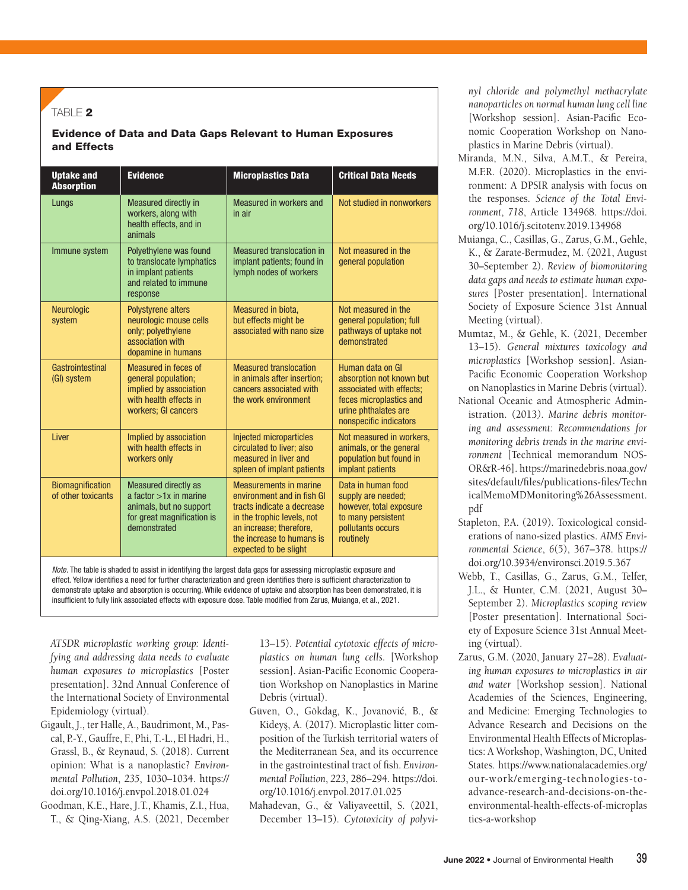#### TABLE  $2$

#### Evidence of Data and Data Gaps Relevant to Human Exposures and Effects

| <b>Uptake and</b><br><b>Absorption</b> | <b>Evidence</b>                                                                                                           | <b>Microplastics Data</b>                                                                                                                                                                                | <b>Critical Data Needs</b>                                                                                                                            |
|----------------------------------------|---------------------------------------------------------------------------------------------------------------------------|----------------------------------------------------------------------------------------------------------------------------------------------------------------------------------------------------------|-------------------------------------------------------------------------------------------------------------------------------------------------------|
| Lungs                                  | Measured directly in<br>workers, along with<br>health effects, and in<br>animals                                          | Measured in workers and<br>in air                                                                                                                                                                        | Not studied in nonworkers                                                                                                                             |
| Immune system                          | Polyethylene was found<br>to translocate lymphatics<br>in implant patients<br>and related to immune<br>response           | Measured translocation in<br>implant patients; found in<br>lymph nodes of workers                                                                                                                        | Not measured in the<br>general population                                                                                                             |
| <b>Neurologic</b><br>system            | <b>Polystyrene alters</b><br>neurologic mouse cells<br>only; polyethylene<br>association with<br>dopamine in humans       | Measured in biota.<br>but effects might be<br>associated with nano size                                                                                                                                  | Not measured in the<br>general population; full<br>pathways of uptake not<br>demonstrated                                                             |
| Gastrointestinal<br>(GI) system        | Measured in feces of<br>general population;<br>implied by association<br>with health effects in<br>workers; GI cancers    | <b>Measured translocation</b><br>in animals after insertion:<br>cancers associated with<br>the work environment                                                                                          | Human data on GI<br>absorption not known but<br>associated with effects:<br>feces microplastics and<br>urine phthalates are<br>nonspecific indicators |
| Liver                                  | Implied by association<br>with health effects in<br>workers only                                                          | Injected microparticles<br>circulated to liver; also<br>measured in liver and<br>spleen of implant patients                                                                                              | Not measured in workers,<br>animals, or the general<br>population but found in<br>implant patients                                                    |
| Biomagnification<br>of other toxicants | Measured directly as<br>a factor $>1x$ in marine<br>animals, but no support<br>for great magnification is<br>demonstrated | <b>Measurements in marine</b><br>environment and in fish GI<br>tracts indicate a decrease<br>in the trophic levels, not<br>an increase; therefore,<br>the increase to humans is<br>expected to be slight | Data in human food<br>supply are needed;<br>however, total exposure<br>to many persistent<br>pollutants occurs<br>routinely                           |

*Note.* The table is shaded to assist in identifying the largest data gaps for assessing microplastic exposure and effect. Yellow identifies a need for further characterization and green identifies there is sufficient characterization to demonstrate uptake and absorption is occurring. While evidence of uptake and absorption has been demonstrated, it is insufficient to fully link associated effects with exposure dose. Table modified from Zarus, Muianga, et al., 2021.

*ATSDR microplastic working group: Identifying and addressing data needs to evaluate human exposures to microplastics* [Poster presentation]. 32nd Annual Conference of the International Society of Environmental Epidemiology (virtual).

- Gigault, J., ter Halle, A., Baudrimont, M., Pascal, P.-Y., Gauffre, F., Phi, T.-L., El Hadri, H., Grassl, B., & Reynaud, S. (2018). Current opinion: What is a nanoplastic? *Environmental Pollution*, *235*, 1030–1034. https:// doi.org/10.1016/j.envpol.2018.01.024
- Goodman, K.E., Hare, J.T., Khamis, Z.I., Hua, T., & Qing-Xiang, A.S. (2021, December

13–15). *Potential cytotoxic effects of microplastics on human lung cells*. [Workshop session]. Asian-Pacific Economic Cooperation Workshop on Nanoplastics in Marine Debris (virtual).

- Güven, O., Gökdag, K., Jovanović, B., & Kideyş, A. (2017). Microplastic litter composition of the Turkish territorial waters of the Mediterranean Sea, and its occurrence in the gastrointestinal tract of fish. *Environmental Pollution*, *223*, 286–294. https://doi. org/10.1016/j.envpol.2017.01.025
- Mahadevan, G., & Valiyaveettil, S. (2021, December 13–15). *Cytotoxicity of polyvi-*

*nyl chloride and polymethyl methacrylate nanoparticles on normal human lung cell line* [Workshop session]. Asian-Pacific Economic Cooperation Workshop on Nanoplastics in Marine Debris (virtual).

- Miranda, M.N., Silva, A.M.T., & Pereira, M.F.R. (2020). Microplastics in the environment: A DPSIR analysis with focus on the responses. *Science of the Total Environment*, *718*, Article 134968. https://doi. org/10.1016/j.scitotenv.2019.134968
- Muianga, C., Casillas, G., Zarus, G.M., Gehle, K., & Zarate-Bermudez, M. (2021, August 30–September 2). *Review of biomonitoring data gaps and needs to estimate human exposures* [Poster presentation]. International Society of Exposure Science 31st Annual Meeting (virtual).
- Mumtaz, M., & Gehle, K. (2021, December 13–15). *General mixtures toxicology and microplastics* [Workshop session]. Asian-Pacific Economic Cooperation Workshop on Nanoplastics in Marine Debris (virtual).
- National Oceanic and Atmospheric Administration. (2013*). Marine debris monitoring and assessment: Recommendations for monitoring debris trends in the marine environment* [Technical memorandum NOS-OR&R-46]. https://marinedebris.noaa.gov/ sites/default/files/publications-files/Techn icalMemoMDMonitoring%26Assessment. pdf
- Stapleton, P.A. (2019). Toxicological considerations of nano-sized plastics. *AIMS Environmental Science*, *6*(5), 367–378. https:// doi.org/10.3934/environsci.2019.5.367
- Webb, T., Casillas, G., Zarus, G.M., Telfer, J.L., & Hunter, C.M. (2021, August 30– September 2). *Microplastics scoping review* [Poster presentation]. International Society of Exposure Science 31st Annual Meeting (virtual).
- Zarus, G.M. (2020, January 27–28). *Evaluating human exposures to microplastics in air and water* [Workshop session]. National Academies of the Sciences, Engineering, and Medicine: Emerging Technologies to Advance Research and Decisions on the Environmental Health Effects of Microplastics: A Workshop, Washington, DC, United States. https://www.nationalacademies.org/ our-work/emerging-technologies-toadvance-research-and-decisions-on-theenvironmental-health-effects-of-microplas tics-a-workshop